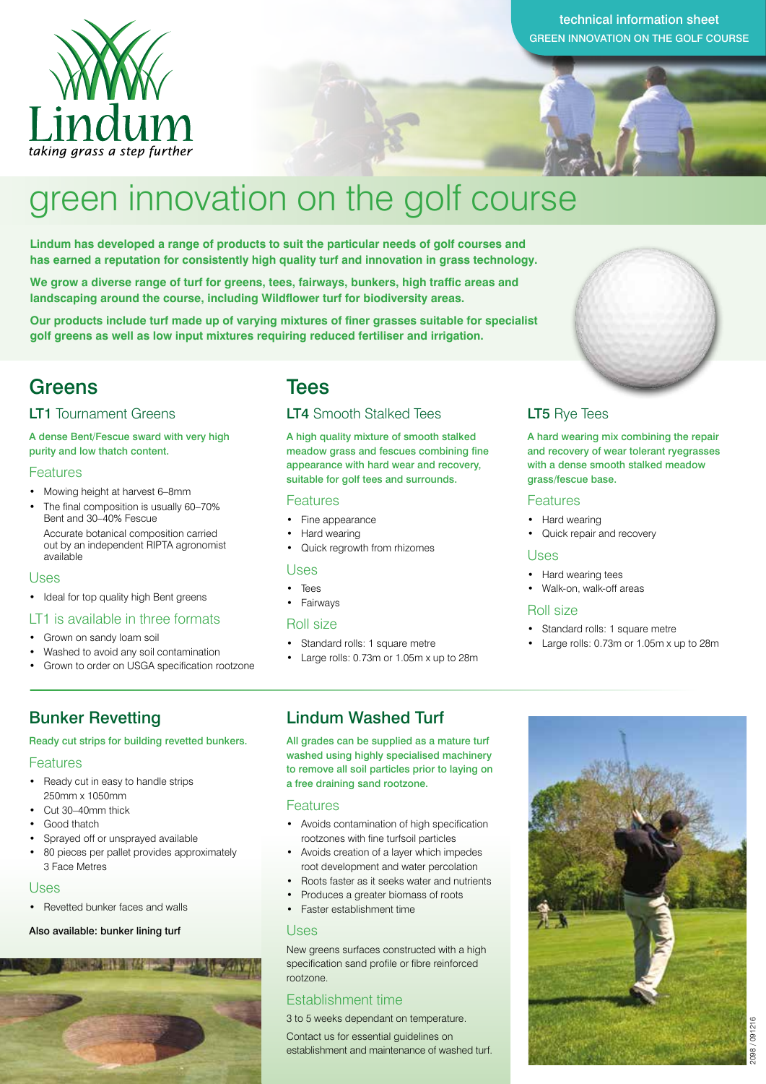

#### technical information sheet GREEN INNOVATION ON THE GOLF COURSE

# green innovation on the golf course

**Lindum has developed a range of products to suit the particular needs of golf courses and has earned a reputation for consistently high quality turf and innovation in grass technology.** 

**We grow a diverse range of turf for greens, tees, fairways, bunkers, high traffic areas and landscaping around the course, including Wildflower turf for biodiversity areas.** 

**Our products include turf made up of varying mixtures of finer grasses suitable for specialist golf greens as well as low input mixtures requiring reduced fertiliser and irrigation.**

### Greens Tees

#### LT1 Tournament Greens

#### A dense Bent/Fescue sward with very high purity and low thatch content.

#### Features

- Mowing height at harvest 6–8mm
- The final composition is usually 60–70% Bent and 30–40% Fescue Accurate botanical composition carried
- out by an independent RIPTA agronomist available

#### Uses

• Ideal for top quality high Bent greens

#### LT1 is available in three formats

- Grown on sandy loam soil
- Washed to avoid any soil contamination
- Grown to order on USGA specification rootzone

### Bunker Revetting

#### Ready cut strips for building revetted bunkers.

#### Features

- Ready cut in easy to handle strips 250mm x 1050mm
- Cut 30–40mm thick
- Good thatch
- Sprayed off or unsprayed available
- 80 pieces per pallet provides approximately 3 Face Metres

#### Uses

• Revetted bunker faces and walls

#### Also available: bunker lining turf



#### LT4 Smooth Stalked Tees

A high quality mixture of smooth stalked meadow grass and fescues combining fine appearance with hard wear and recovery, suitable for golf tees and surrounds.

#### Features

- Fine appearance
- Hard wearing
- Quick regrowth from rhizomes

#### Uses

- Tees
- Fairways

#### Roll size

- Standard rolls: 1 square metre
- Large rolls: 0.73m or 1.05m x up to 28m

#### Lindum Washed Turf

All grades can be supplied as a mature turf washed using highly specialised machinery to remove all soil particles prior to laying on a free draining sand rootzone.

#### **Features**

- Avoids contamination of high specification rootzones with fine turfsoil particles
- Avoids creation of a layer which impedes root development and water percolation
- Roots faster as it seeks water and nutrients
- Produces a greater biomass of roots
- Faster establishment time

#### Uses

New greens surfaces constructed with a high specification sand profile or fibre reinforced rootzone.

#### Establishment time

3 to 5 weeks dependant on temperature.

Contact us for essential guidelines on establishment and maintenance of washed turf.



#### LT5 Rye Tees

A hard wearing mix combining the repair and recovery of wear tolerant ryegrasses with a dense smooth stalked meadow grass/fescue base.

#### Features

- Hard wearing
	- Quick repair and recovery

#### Uses

- Hard wearing tees
- Walk-on, walk-off areas

#### Roll size

- Standard rolls: 1 square metre
- Large rolls: 0.73m or 1.05m x up to 28m